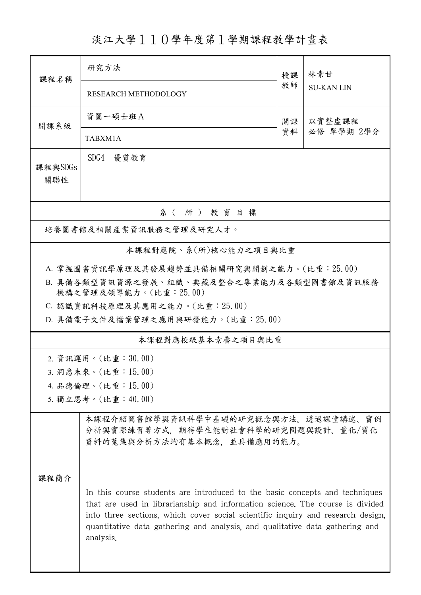淡江大學110學年度第1學期課程教學計畫表

| 課程名稱                                                                                                                                                                                                                                                                                                                                                 | 研究方法                                                                                                     | 授課           | 林素甘<br><b>SU-KANLIN</b> |  |  |  |  |
|------------------------------------------------------------------------------------------------------------------------------------------------------------------------------------------------------------------------------------------------------------------------------------------------------------------------------------------------------|----------------------------------------------------------------------------------------------------------|--------------|-------------------------|--|--|--|--|
|                                                                                                                                                                                                                                                                                                                                                      | <b>RESEARCH METHODOLOGY</b>                                                                              | 教師           |                         |  |  |  |  |
| 開課系級                                                                                                                                                                                                                                                                                                                                                 | 資圖一碩士班A                                                                                                  | 以實整虛課程<br>開課 |                         |  |  |  |  |
|                                                                                                                                                                                                                                                                                                                                                      | TABXM1A                                                                                                  | 資料           | 必修 單學期 2學分              |  |  |  |  |
| 課程與SDGs<br>關聯性                                                                                                                                                                                                                                                                                                                                       | SDG4<br>優質教育                                                                                             |              |                         |  |  |  |  |
| 系 (所) 教育目標                                                                                                                                                                                                                                                                                                                                           |                                                                                                          |              |                         |  |  |  |  |
|                                                                                                                                                                                                                                                                                                                                                      | 培養圖書館及相關產業資訊服務之管理及研究人才。                                                                                  |              |                         |  |  |  |  |
|                                                                                                                                                                                                                                                                                                                                                      | 本課程對應院、系(所)核心能力之項目與比重                                                                                    |              |                         |  |  |  |  |
| A. 掌握圖書資訊學原理及其發展趨勢並具備相關研究與開創之能力。(比重:25.00)<br>B. 具備各類型資訊資源之發展、組織、典藏及整合之專業能力及各類型圖書館及資訊服務<br>機構之管理及領導能力。(比重: 25.00)<br>C. 認識資訊科技原理及其應用之能力。(比重: 25.00)<br>D. 具備電子文件及檔案管理之應用與研發能力。(比重: 25.00)                                                                                                                                                            |                                                                                                          |              |                         |  |  |  |  |
| 本課程對應校級基本素養之項目與比重                                                                                                                                                                                                                                                                                                                                    |                                                                                                          |              |                         |  |  |  |  |
|                                                                                                                                                                                                                                                                                                                                                      | 2. 資訊運用。(比重:30.00)<br>3. 洞悉未來。(比重:15.00)                                                                 |              |                         |  |  |  |  |
| 4. 品德倫理。(比重:15.00)                                                                                                                                                                                                                                                                                                                                   |                                                                                                          |              |                         |  |  |  |  |
|                                                                                                                                                                                                                                                                                                                                                      | 5. 獨立思考。(比重:40.00)                                                                                       |              |                         |  |  |  |  |
|                                                                                                                                                                                                                                                                                                                                                      | 本課程介紹圖書館學與資訊科學中基礎的研究概念與方法。透過課堂講述、實例<br>分析與實際練習等方式,期待學生能對社會科學的研究問題與設計、量化/質化<br>資料的蒐集與分析方法均有基本概念,並具備應用的能力。 |              |                         |  |  |  |  |
| 课程简介<br>In this course students are introduced to the basic concepts and techniques<br>that are used in librarianship and information science. The course is divided<br>into three sections, which cover social scientific inquiry and research design,<br>quantitative data gathering and analysis, and qualitative data gathering and<br>analysis. |                                                                                                          |              |                         |  |  |  |  |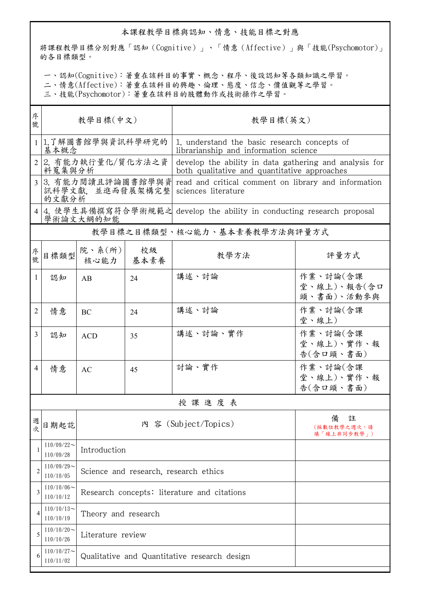## 本課程教學目標與認知、情意、技能目標之對應

將課程教學目標分別對應「認知(Cognitive)」、「情意(Affective)」與「技能(Psychomotor)」 的各目標類型。

一、認知(Cognitive):著重在該科目的事實、概念、程序、後設認知等各類知識之學習。

二、情意(Affective):著重在該科目的興趣、倫理、態度、信念、價值觀等之學習。

三、技能(Psychomotor):著重在該科目的肢體動作或技術操作之學習。

| 序<br>號         | 教學目標(中文)                      |                                              |            | 教學目標(英文)                                                                                               |                                       |  |  |
|----------------|-------------------------------|----------------------------------------------|------------|--------------------------------------------------------------------------------------------------------|---------------------------------------|--|--|
|                | 基本概念                          | 1 1.了解圖書館學與資訊科學研究的                           |            | 1. understand the basic research concepts of<br>librarianship and information science                  |                                       |  |  |
| 2 <sup>1</sup> | 2. 有能力執行量化/質化方法之資<br>料蒐集與分析   |                                              |            | develop the ability in data gathering and analysis for<br>both qualitative and quantitative approaches |                                       |  |  |
| $\overline{3}$ | 的文獻分析                         | 3. 有能力閱讀且評論圖書館學與資<br>訊科學文獻,並進而發展架構完整         |            | read and critical comment on library and information<br>sciences literature                            |                                       |  |  |
| 4              |                               | 學術論文大綱的知能                                    |            | 4. 使學生具備撰寫符合學術規範之 develop the ability in conducting research proposal                                  |                                       |  |  |
|                | 教學目標之目標類型、核心能力、基本素養教學方法與評量方式  |                                              |            |                                                                                                        |                                       |  |  |
| 序<br>號         | 目標類型                          | 院、系 $(\kappa)$<br>核心能力                       | 校級<br>基本素養 | 教學方法                                                                                                   | 評量方式                                  |  |  |
| 1              | 認知                            | AB                                           | 24         | 講述、討論                                                                                                  | 作業、討論(含課<br>堂、線上)、報告(含口<br>頭、書面)、活動參與 |  |  |
| 2              | 情意                            | BC                                           | 24         | 講述、討論                                                                                                  | 作業、討論(含課<br>堂、線上)                     |  |  |
| 3              | 認知                            | <b>ACD</b>                                   | 35         | 講述、討論、實作                                                                                               | 作業、討論(含課<br>堂、線上)、實作、報<br>告(含口頭、書面)   |  |  |
| 4              | 情意                            | AC                                           | 45         | 討論、實作                                                                                                  | 作業、討論(含課<br>堂、線上)、實作、報<br>告(含口頭、書面)   |  |  |
|                | 授課進度表                         |                                              |            |                                                                                                        |                                       |  |  |
| 週<br>次         | 日期起訖                          |                                              |            | 內 容 (Subject/Topics)                                                                                   | 備<br>註<br>(採數位教學之週次,請<br>填「線上非同步教學」)  |  |  |
| 1              | $110/09/22$ ~<br>110/09/28    | Introduction                                 |            |                                                                                                        |                                       |  |  |
| 2              | $110/09/29$ ~<br>110/10/05    | Science and research, research ethics        |            |                                                                                                        |                                       |  |  |
| 3              | $110/10/06 \sim$<br>110/10/12 | Research concepts: literature and citations  |            |                                                                                                        |                                       |  |  |
| 4              | $110/10/13$ ~<br>110/10/19    | Theory and research                          |            |                                                                                                        |                                       |  |  |
| 5              | $110/10/20$ ~<br>110/10/26    | Literature review                            |            |                                                                                                        |                                       |  |  |
| 6              | $110/10/27$ ~<br>110/11/02    | Qualitative and Quantitative research design |            |                                                                                                        |                                       |  |  |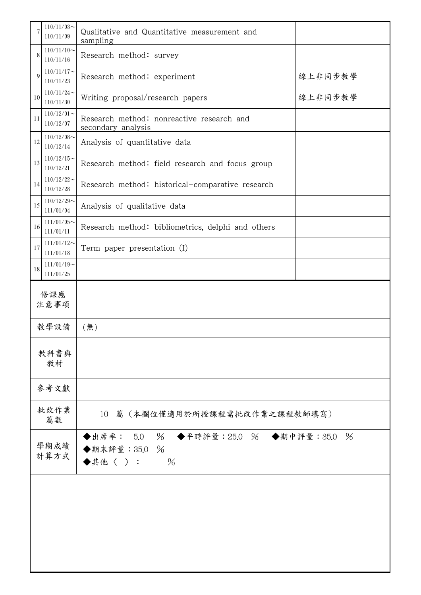| 7          | $110/11/03$ ~<br>110/11/09                                | Qualitative and Quantitative measurement and<br>sampling                                                                |         |  |  |
|------------|-----------------------------------------------------------|-------------------------------------------------------------------------------------------------------------------------|---------|--|--|
| 8          | $110/11/10$ ~<br>110/11/16                                | Research method: survey                                                                                                 |         |  |  |
| 9          | $110/11/17$ ~<br>Research method: experiment<br>110/11/23 |                                                                                                                         | 線上非同步教學 |  |  |
| 10         | $110/11/24$ ~<br>110/11/30                                | Writing proposal/research papers                                                                                        | 線上非同步教學 |  |  |
| 11         | $110/12/01$ ~<br>110/12/07                                | Research method: nonreactive research and<br>secondary analysis                                                         |         |  |  |
| 12         | $110/12/08$ ~<br>110/12/14                                | Analysis of quantitative data                                                                                           |         |  |  |
| 13         | $110/12/15$ ~<br>110/12/21                                | Research method: field research and focus group                                                                         |         |  |  |
| 14         | $110/12/22$ ~<br>110/12/28                                | Research method: historical-comparative research                                                                        |         |  |  |
| 15         | $110/12/29$ ~<br>111/01/04                                | Analysis of qualitative data                                                                                            |         |  |  |
| 16         | $111/01/05$ ~<br>111/01/11                                | Research method: bibliometrics, delphi and others                                                                       |         |  |  |
| 17         | $111/01/12$ ~<br>111/01/18                                | Term paper presentation (I)                                                                                             |         |  |  |
| 18         | $111/01/19$ ~<br>111/01/25                                |                                                                                                                         |         |  |  |
|            | 修課應<br>注意事項                                               |                                                                                                                         |         |  |  |
|            | 教學設備                                                      | (無)                                                                                                                     |         |  |  |
|            | 教科書與                                                      |                                                                                                                         |         |  |  |
|            | 教材                                                        |                                                                                                                         |         |  |  |
|            | 參考文獻                                                      |                                                                                                                         |         |  |  |
| 批改作業<br>篇數 |                                                           | 10 篇 (本欄位僅適用於所授課程需批改作業之課程教師填寫)                                                                                          |         |  |  |
|            | 學期成績<br>計算方式                                              | ◆出席率: 5.0 % ◆平時評量:25.0 % ◆期中評量:35.0<br>$\frac{0}{6}$<br>◆期末評量: 35.0<br>$\%$<br>$\blacklozenge$ 其他〈 〉 :<br>$\frac{0}{6}$ |         |  |  |
|            |                                                           |                                                                                                                         |         |  |  |